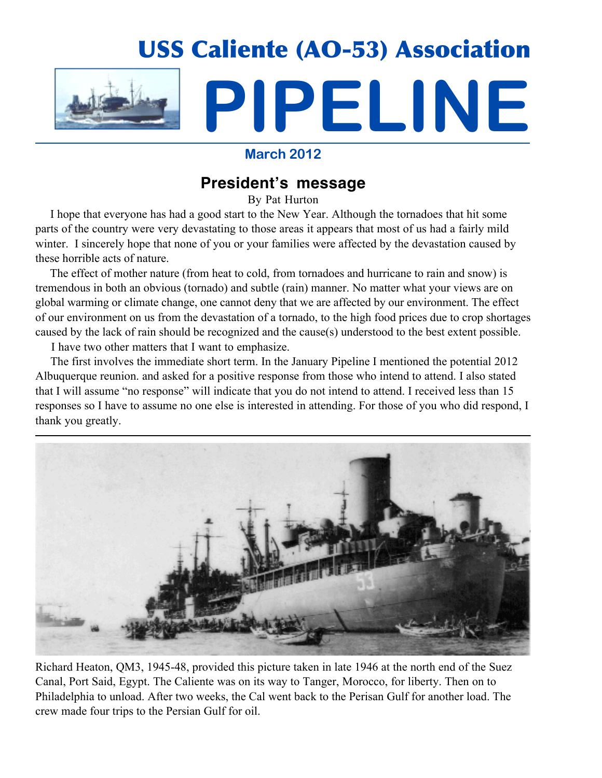

### **March 2012**

## **President's message**

By Pat Hurton

I hope that everyone has had a good start to the New Year. Although the tornadoes that hit some parts of the country were very devastating to those areas it appears that most of us had a fairly mild winter. I sincerely hope that none of you or your families were affected by the devastation caused by these horrible acts of nature.

 The effect of mother nature (from heat to cold, from tornadoes and hurricane to rain and snow) is tremendous in both an obvious (tornado) and subtle (rain) manner. No matter what your views are on global warming or climate change, one cannot deny that we are affected by our environment. The effect of our environment on us from the devastation of a tornado, to the high food prices due to crop shortages caused by the lack of rain should be recognized and the cause(s) understood to the best extent possible.

I have two other matters that I want to emphasize.

 The first involves the immediate short term. In the January Pipeline I mentioned the potential 2012 Albuquerque reunion. and asked for a positive response from those who intend to attend. I also stated that I will assume "no response" will indicate that you do not intend to attend. I received less than 15 responses so I have to assume no one else is interested in attending. For those of you who did respond, I thank you greatly.



Richard Heaton, QM3, 1945-48, provided this picture taken in late 1946 at the north end of the Suez Canal, Port Said, Egypt. The Caliente was on its way to Tanger, Morocco, for liberty. Then on to Philadelphia to unload. After two weeks, the Cal went back to the Perisan Gulf for another load. The crew made four trips to the Persian Gulf for oil.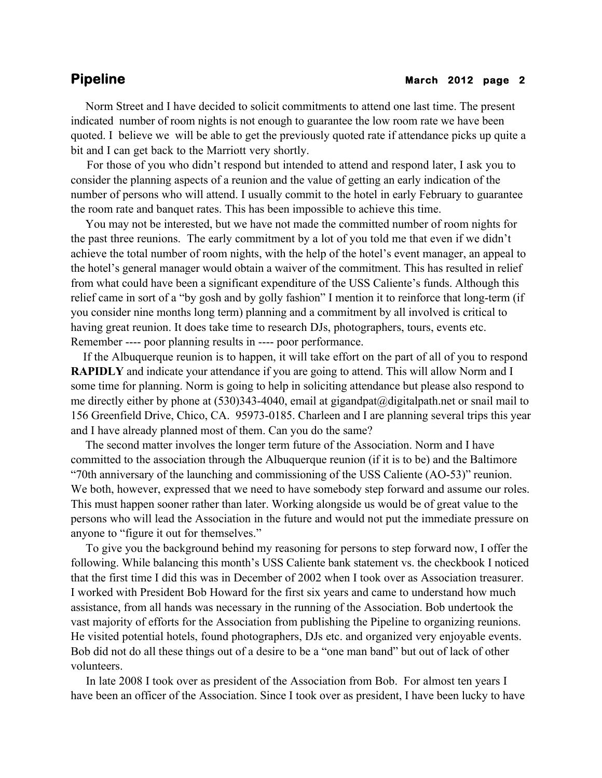### **Pipeline** March 2012 page 2

 Norm Street and I have decided to solicit commitments to attend one last time. The present indicated number of room nights is not enough to guarantee the low room rate we have been quoted. I believe we will be able to get the previously quoted rate if attendance picks up quite a bit and I can get back to the Marriott very shortly.

 For those of you who didn't respond but intended to attend and respond later, I ask you to consider the planning aspects of a reunion and the value of getting an early indication of the number of persons who will attend. I usually commit to the hotel in early February to guarantee the room rate and banquet rates. This has been impossible to achieve this time.

 You may not be interested, but we have not made the committed number of room nights for the past three reunions. The early commitment by a lot of you told me that even if we didn't achieve the total number of room nights, with the help of the hotel's event manager, an appeal to the hotel's general manager would obtain a waiver of the commitment. This has resulted in relief from what could have been a significant expenditure of the USS Caliente's funds. Although this relief came in sort of a "by gosh and by golly fashion" I mention it to reinforce that long-term (if you consider nine months long term) planning and a commitment by all involved is critical to having great reunion. It does take time to research DJs, photographers, tours, events etc. Remember ---- poor planning results in ---- poor performance.

 If the Albuquerque reunion is to happen, it will take effort on the part of all of you to respond **RAPIDLY** and indicate your attendance if you are going to attend. This will allow Norm and I some time for planning. Norm is going to help in soliciting attendance but please also respond to me directly either by phone at (530)343-4040, email at gigandpat@digitalpath.net or snail mail to 156 Greenfield Drive, Chico, CA. 95973-0185. Charleen and I are planning several trips this year and I have already planned most of them. Can you do the same?

 The second matter involves the longer term future of the Association. Norm and I have committed to the association through the Albuquerque reunion (if it is to be) and the Baltimore "70th anniversary of the launching and commissioning of the USS Caliente (AO-53)" reunion. We both, however, expressed that we need to have somebody step forward and assume our roles. This must happen sooner rather than later. Working alongside us would be of great value to the persons who will lead the Association in the future and would not put the immediate pressure on anyone to "figure it out for themselves."

 To give you the background behind my reasoning for persons to step forward now, I offer the following. While balancing this month's USS Caliente bank statement vs. the checkbook I noticed that the first time I did this was in December of 2002 when I took over as Association treasurer. I worked with President Bob Howard for the first six years and came to understand how much assistance, from all hands was necessary in the running of the Association. Bob undertook the vast majority of efforts for the Association from publishing the Pipeline to organizing reunions. He visited potential hotels, found photographers, DJs etc. and organized very enjoyable events. Bob did not do all these things out of a desire to be a "one man band" but out of lack of other volunteers.

 In late 2008 I took over as president of the Association from Bob. For almost ten years I have been an officer of the Association. Since I took over as president, I have been lucky to have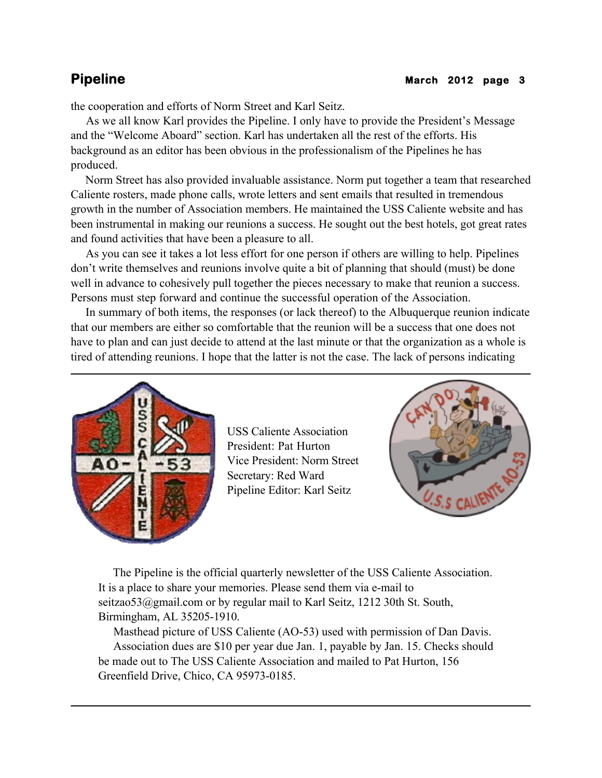the cooperation and efforts of Norm Street and Karl Seitz.

 As we all know Karl provides the Pipeline. I only have to provide the President's Message and the "Welcome Aboard" section. Karl has undertaken all the rest of the efforts. His background as an editor has been obvious in the professionalism of the Pipelines he has produced.

 Norm Street has also provided invaluable assistance. Norm put together a team that researched Caliente rosters, made phone calls, wrote letters and sent emails that resulted in tremendous growth in the number of Association members. He maintained the USS Caliente website and has been instrumental in making our reunions a success. He sought out the best hotels, got great rates and found activities that have been a pleasure to all.

 As you can see it takes a lot less effort for one person if others are willing to help. Pipelines don't write themselves and reunions involve quite a bit of planning that should (must) be done well in advance to cohesively pull together the pieces necessary to make that reunion a success. Persons must step forward and continue the successful operation of the Association.

 In summary of both items, the responses (or lack thereof) to the Albuquerque reunion indicate that our members are either so comfortable that the reunion will be a success that one does not have to plan and can just decide to attend at the last minute or that the organization as a whole is tired of attending reunions. I hope that the latter is not the case. The lack of persons indicating



USS Caliente Association President: Pat Hurton Vice President: Norm Street Secretary: Red Ward Pipeline Editor: Karl Seitz



 The Pipeline is the official quarterly newsletter of the USS Caliente Association. It is a place to share your memories. Please send them via e-mail to seitzao53@gmail.com or by regular mail to Karl Seitz, 1212 30th St. South, Birmingham, AL 35205-1910.

 Masthead picture of USS Caliente (AO-53) used with permission of Dan Davis. Association dues are \$10 per year due Jan. 1, payable by Jan. 15. Checks should be made out to The USS Caliente Association and mailed to Pat Hurton, 156 Greenfield Drive, Chico, CA 95973-0185.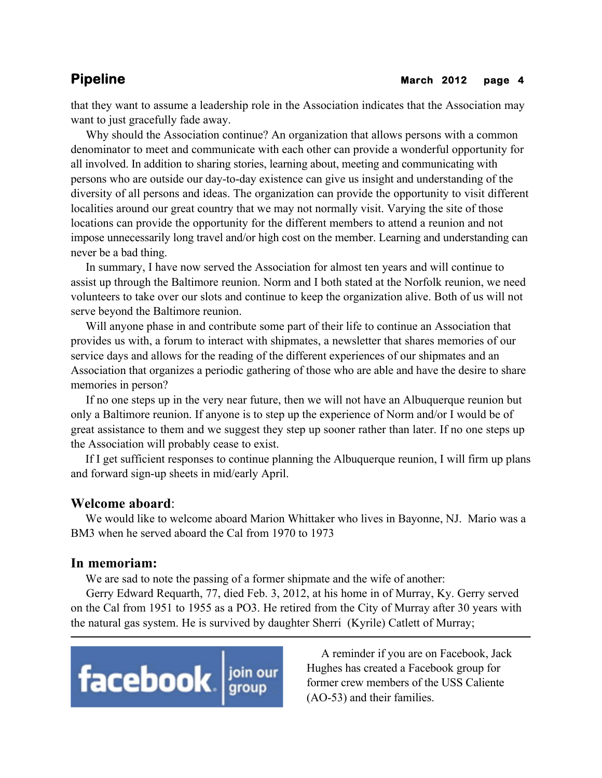that they want to assume a leadership role in the Association indicates that the Association may want to just gracefully fade away.

 Why should the Association continue? An organization that allows persons with a common denominator to meet and communicate with each other can provide a wonderful opportunity for all involved. In addition to sharing stories, learning about, meeting and communicating with persons who are outside our day-to-day existence can give us insight and understanding of the diversity of all persons and ideas. The organization can provide the opportunity to visit different localities around our great country that we may not normally visit. Varying the site of those locations can provide the opportunity for the different members to attend a reunion and not impose unnecessarily long travel and/or high cost on the member. Learning and understanding can never be a bad thing.

 In summary, I have now served the Association for almost ten years and will continue to assist up through the Baltimore reunion. Norm and I both stated at the Norfolk reunion, we need volunteers to take over our slots and continue to keep the organization alive. Both of us will not serve beyond the Baltimore reunion.

 Will anyone phase in and contribute some part of their life to continue an Association that provides us with, a forum to interact with shipmates, a newsletter that shares memories of our service days and allows for the reading of the different experiences of our shipmates and an Association that organizes a periodic gathering of those who are able and have the desire to share memories in person?

 If no one steps up in the very near future, then we will not have an Albuquerque reunion but only a Baltimore reunion. If anyone is to step up the experience of Norm and/or I would be of great assistance to them and we suggest they step up sooner rather than later. If no one steps up the Association will probably cease to exist.

 If I get sufficient responses to continue planning the Albuquerque reunion, I will firm up plans and forward sign-up sheets in mid/early April.

### **Welcome aboard**:

 We would like to welcome aboard Marion Whittaker who lives in Bayonne, NJ. Mario was a BM3 when he served aboard the Cal from 1970 to 1973

### **In memoriam:**

We are sad to note the passing of a former shipmate and the wife of another:

 Gerry Edward Requarth, 77, died Feb. 3, 2012, at his home in of Murray, Ky. Gerry served on the Cal from 1951 to 1955 as a PO3. He retired from the City of Murray after 30 years with the natural gas system. He is survived by daughter Sherri (Kyrile) Catlett of Murray;



 A reminder if you are on Facebook, Jack Hughes has created a Facebook group for former crew members of the USS Caliente (AO-53) and their families.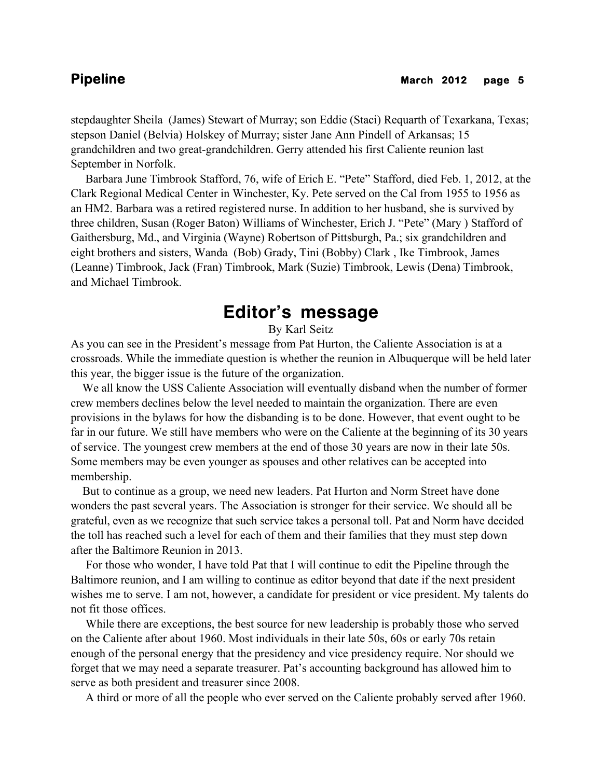stepdaughter Sheila (James) Stewart of Murray; son Eddie (Staci) Requarth of Texarkana, Texas; stepson Daniel (Belvia) Holskey of Murray; sister Jane Ann Pindell of Arkansas; 15 grandchildren and two great-grandchildren. Gerry attended his first Caliente reunion last September in Norfolk.

 Barbara June Timbrook Stafford, 76, wife of Erich E. "Pete" Stafford, died Feb. 1, 2012, at the Clark Regional Medical Center in Winchester, Ky. Pete served on the Cal from 1955 to 1956 as an HM2. Barbara was a retired registered nurse. In addition to her husband, she is survived by three children, Susan (Roger Baton) Williams of Winchester, Erich J. "Pete" (Mary ) Stafford of Gaithersburg, Md., and Virginia (Wayne) Robertson of Pittsburgh, Pa.; six grandchildren and eight brothers and sisters, Wanda (Bob) Grady, Tini (Bobby) Clark , Ike Timbrook, James (Leanne) Timbrook, Jack (Fran) Timbrook, Mark (Suzie) Timbrook, Lewis (Dena) Timbrook, and Michael Timbrook.

# **Editor's message**

By Karl Seitz

As you can see in the President's message from Pat Hurton, the Caliente Association is at a crossroads. While the immediate question is whether the reunion in Albuquerque will be held later this year, the bigger issue is the future of the organization.

 We all know the USS Caliente Association will eventually disband when the number of former crew members declines below the level needed to maintain the organization. There are even provisions in the bylaws for how the disbanding is to be done. However, that event ought to be far in our future. We still have members who were on the Caliente at the beginning of its 30 years of service. The youngest crew members at the end of those 30 years are now in their late 50s. Some members may be even younger as spouses and other relatives can be accepted into membership.

 But to continue as a group, we need new leaders. Pat Hurton and Norm Street have done wonders the past several years. The Association is stronger for their service. We should all be grateful, even as we recognize that such service takes a personal toll. Pat and Norm have decided the toll has reached such a level for each of them and their families that they must step down after the Baltimore Reunion in 2013.

 For those who wonder, I have told Pat that I will continue to edit the Pipeline through the Baltimore reunion, and I am willing to continue as editor beyond that date if the next president wishes me to serve. I am not, however, a candidate for president or vice president. My talents do not fit those offices.

 While there are exceptions, the best source for new leadership is probably those who served on the Caliente after about 1960. Most individuals in their late 50s, 60s or early 70s retain enough of the personal energy that the presidency and vice presidency require. Nor should we forget that we may need a separate treasurer. Pat's accounting background has allowed him to serve as both president and treasurer since 2008.

A third or more of all the people who ever served on the Caliente probably served after 1960.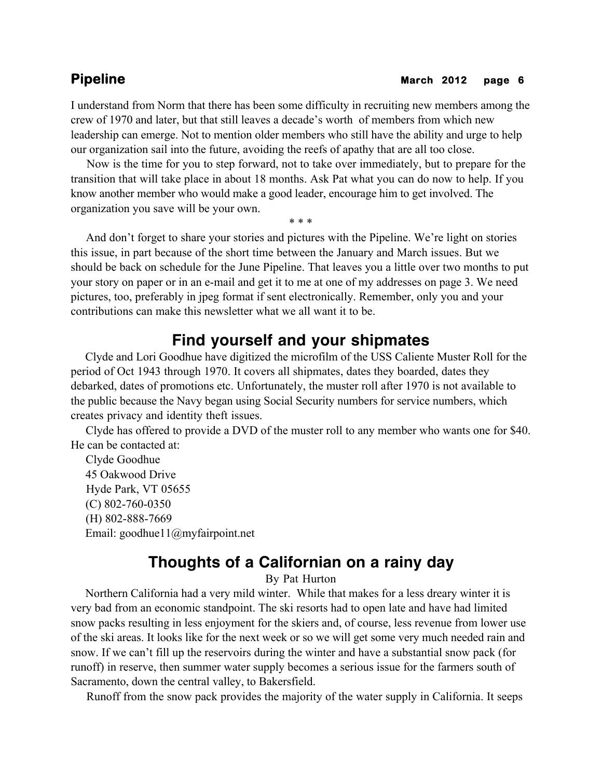I understand from Norm that there has been some difficulty in recruiting new members among the crew of 1970 and later, but that still leaves a decade's worth of members from which new leadership can emerge. Not to mention older members who still have the ability and urge to help our organization sail into the future, avoiding the reefs of apathy that are all too close.

 Now is the time for you to step forward, not to take over immediately, but to prepare for the transition that will take place in about 18 months. Ask Pat what you can do now to help. If you know another member who would make a good leader, encourage him to get involved. The organization you save will be your own.

\* \* \*

 And don't forget to share your stories and pictures with the Pipeline. We're light on stories this issue, in part because of the short time between the January and March issues. But we should be back on schedule for the June Pipeline. That leaves you a little over two months to put your story on paper or in an e-mail and get it to me at one of my addresses on page 3. We need pictures, too, preferably in jpeg format if sent electronically. Remember, only you and your contributions can make this newsletter what we all want it to be.

## **Find yourself and your shipmates**

 Clyde and Lori Goodhue have digitized the microfilm of the USS Caliente Muster Roll for the period of Oct 1943 through 1970. It covers all shipmates, dates they boarded, dates they debarked, dates of promotions etc. Unfortunately, the muster roll after 1970 is not available to the public because the Navy began using Social Security numbers for service numbers, which creates privacy and identity theft issues.

 Clyde has offered to provide a DVD of the muster roll to any member who wants one for \$40. He can be contacted at:

 Clyde Goodhue 45 Oakwood Drive Hyde Park, VT 05655 (C) 802-760-0350 (H) 802-888-7669 Email: goodhue11@myfairpoint.net

## **Thoughts of a Californian on a rainy day**

By Pat Hurton

 Northern California had a very mild winter. While that makes for a less dreary winter it is very bad from an economic standpoint. The ski resorts had to open late and have had limited snow packs resulting in less enjoyment for the skiers and, of course, less revenue from lower use of the ski areas. It looks like for the next week or so we will get some very much needed rain and snow. If we can't fill up the reservoirs during the winter and have a substantial snow pack (for runoff) in reserve, then summer water supply becomes a serious issue for the farmers south of Sacramento, down the central valley, to Bakersfield.

Runoff from the snow pack provides the majority of the water supply in California. It seeps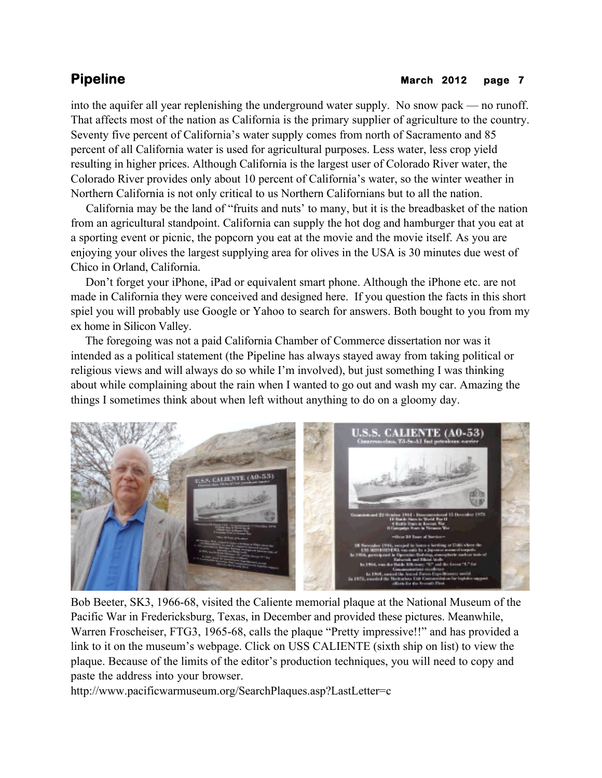### **Pipeline** March 2012 page 7

into the aquifer all year replenishing the underground water supply. No snow pack — no runoff. That affects most of the nation as California is the primary supplier of agriculture to the country. Seventy five percent of California's water supply comes from north of Sacramento and 85 percent of all California water is used for agricultural purposes. Less water, less crop yield resulting in higher prices. Although California is the largest user of Colorado River water, the Colorado River provides only about 10 percent of California's water, so the winter weather in Northern California is not only critical to us Northern Californians but to all the nation.

 California may be the land of "fruits and nuts' to many, but it is the breadbasket of the nation from an agricultural standpoint. California can supply the hot dog and hamburger that you eat at a sporting event or picnic, the popcorn you eat at the movie and the movie itself. As you are enjoying your olives the largest supplying area for olives in the USA is 30 minutes due west of Chico in Orland, California.

 Don't forget your iPhone, iPad or equivalent smart phone. Although the iPhone etc. are not made in California they were conceived and designed here. If you question the facts in this short spiel you will probably use Google or Yahoo to search for answers. Both bought to you from my ex home in Silicon Valley.

 The foregoing was not a paid California Chamber of Commerce dissertation nor was it intended as a political statement (the Pipeline has always stayed away from taking political or religious views and will always do so while I'm involved), but just something I was thinking about while complaining about the rain when I wanted to go out and wash my car. Amazing the things I sometimes think about when left without anything to do on a gloomy day.



Bob Beeter, SK3, 1966-68, visited the Caliente memorial plaque at the National Museum of the Pacific War in Fredericksburg, Texas, in December and provided these pictures. Meanwhile, Warren Froscheiser, FTG3, 1965-68, calls the plaque "Pretty impressive!!" and has provided a link to it on the museum's webpage. Click on USS CALIENTE (sixth ship on list) to view the plaque. Because of the limits of the editor's production techniques, you will need to copy and paste the address into your browser.

http://www.pacificwarmuseum.org/SearchPlaques.asp?LastLetter=c